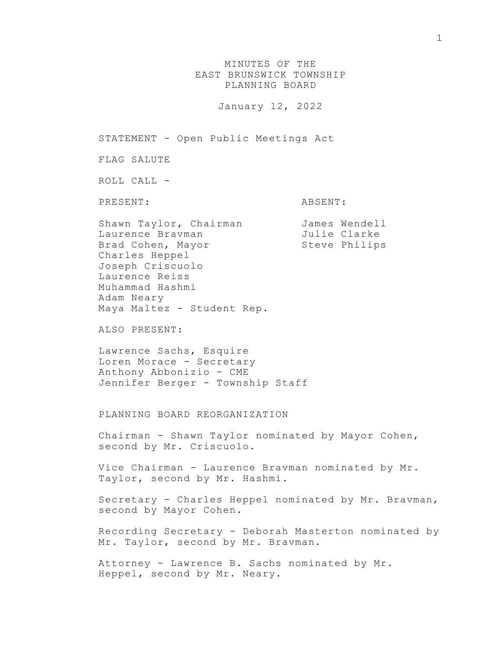## MINUTES OF THE EAST BRUNSWICK TOWNSHIP PLANNING BOARD

January 12, 2022

STATEMENT - Open Public Meetings Act

FLAG SALUTE

ROLL CALL -

PRESENT: ABSENT:

Shawn Taylor, Chairman James Wendell Laurence Bravman Julie Clarke Brad Cohen, Mayor Steve Philips Charles Heppel Joseph Criscuolo Laurence Reiss Muhammad Hashmi Adam Neary Maya Maltez - Student Rep.

ALSO PRESENT:

Lawrence Sachs, Esquire Loren Morace - Secretary Anthony Abbonizio - CME Jennifer Berger - Township Staff

PLANNING BOARD REORGANIZATION

Chairman - Shawn Taylor nominated by Mayor Cohen, second by Mr. Criscuolo.

Vice Chairman - Laurence Bravman nominated by Mr. Taylor, second by Mr. Hashmi.

Secretary - Charles Heppel nominated by Mr. Bravman, second by Mayor Cohen.

Recording Secretary - Deborah Masterton nominated by Mr. Taylor, second by Mr. Bravman.

Attorney - Lawrence B. Sachs nominated by Mr. Heppel, second by Mr. Neary.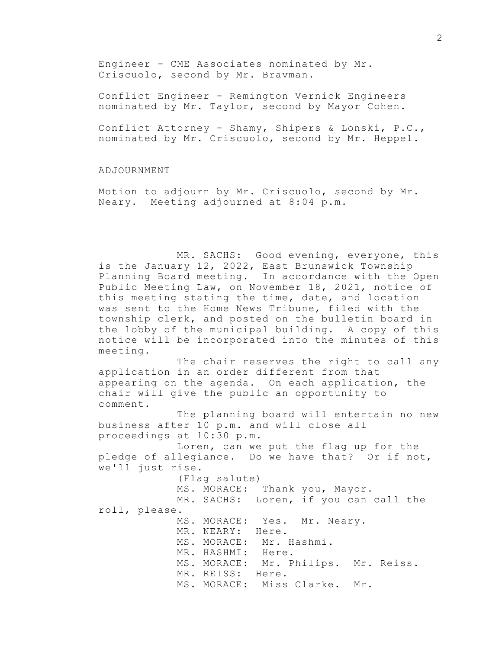Engineer - CME Associates nominated by Mr. Criscuolo, second by Mr. Bravman.

Conflict Engineer - Remington Vernick Engineers nominated by Mr. Taylor, second by Mayor Cohen.

Conflict Attorney - Shamy, Shipers & Lonski, P.C., nominated by Mr. Criscuolo, second by Mr. Heppel.

## ADJOURNMENT

Motion to adjourn by Mr. Criscuolo, second by Mr. Neary. Meeting adjourned at 8:04 p.m.

MR. SACHS: Good evening, everyone, this is the January 12, 2022, East Brunswick Township Planning Board meeting. In accordance with the Open Public Meeting Law, on November 18, 2021, notice of this meeting stating the time, date, and location was sent to the Home News Tribune, filed with the township clerk, and posted on the bulletin board in the lobby of the municipal building. A copy of this notice will be incorporated into the minutes of this meeting.

The chair reserves the right to call any application in an order different from that appearing on the agenda. On each application, the chair will give the public an opportunity to comment.

The planning board will entertain no new business after 10 p.m. and will close all proceedings at 10:30 p.m.

Loren, can we put the flag up for the pledge of allegiance. Do we have that? Or if not, we'll just rise.

(Flag salute) MS. MORACE: Thank you, Mayor. MR. SACHS: Loren, if you can call the roll, please. MS. MORACE: Yes. Mr. Neary. MR. NEARY: Here. MS. MORACE: Mr. Hashmi. MR. HASHMI: Here.

MS. MORACE: Mr. Philips. Mr. Reiss.

MR. REISS: Here.

MS. MORACE: Miss Clarke. Mr.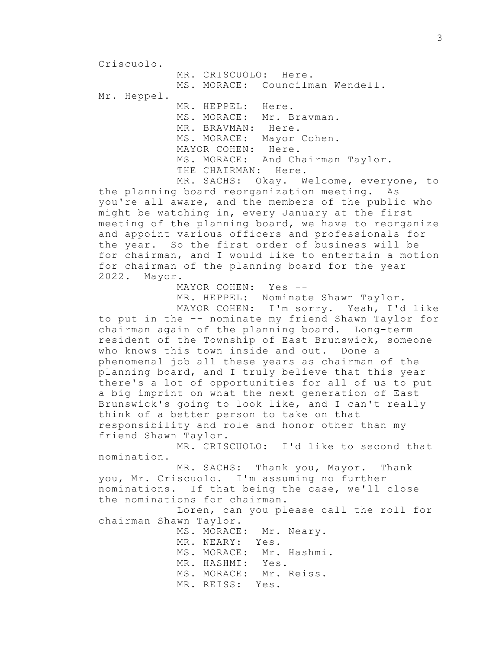Criscuolo.

MR. CRISCUOLO: Here. MS. MORACE: Councilman Wendell. Mr. Heppel. MR. HEPPEL: Here. MS. MORACE: Mr. Bravman. MR. BRAVMAN: Here. MS. MORACE: Mayor Cohen. MAYOR COHEN: Here. MS. MORACE: And Chairman Taylor. THE CHAIRMAN: Here.

MR. SACHS: Okay. Welcome, everyone, to the planning board reorganization meeting. As you're all aware, and the members of the public who might be watching in, every January at the first meeting of the planning board, we have to reorganize and appoint various officers and professionals for the year. So the first order of business will be for chairman, and I would like to entertain a motion for chairman of the planning board for the year 2022. Mayor.

MAYOR COHEN: Yes --

MR. HEPPEL: Nominate Shawn Taylor. MAYOR COHEN: I'm sorry. Yeah, I'd like

to put in the -- nominate my friend Shawn Taylor for chairman again of the planning board. Long-term resident of the Township of East Brunswick, someone who knows this town inside and out. Done a phenomenal job all these years as chairman of the planning board, and I truly believe that this year there's a lot of opportunities for all of us to put a big imprint on what the next generation of East Brunswick's going to look like, and I can't really think of a better person to take on that responsibility and role and honor other than my friend Shawn Taylor.

MR. CRISCUOLO: I'd like to second that nomination.

MR. SACHS: Thank you, Mayor. Thank you, Mr. Criscuolo. I'm assuming no further nominations. If that being the case, we'll close the nominations for chairman.

Loren, can you please call the roll for chairman Shawn Taylor.

> MS. MORACE: Mr. Neary. MR. NEARY: Yes. MS. MORACE: Mr. Hashmi. MR. HASHMI: Yes. MS. MORACE: Mr. Reiss. MR. REISS: Yes.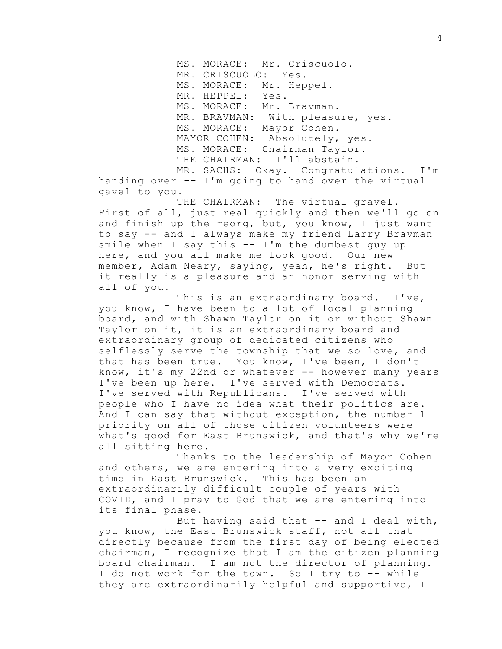MS. MORACE: Mr. Criscuolo. MR. CRISCUOLO: Yes. MS. MORACE: Mr. Heppel. MR. HEPPEL: Yes. MS. MORACE: Mr. Bravman. MR. BRAVMAN: With pleasure, yes. MS. MORACE: Mayor Cohen. MAYOR COHEN: Absolutely, yes. MS. MORACE: Chairman Taylor. THE CHAIRMAN: I'll abstain.

MR. SACHS: Okay. Congratulations. I'm handing over -- I'm going to hand over the virtual gavel to you.

THE CHAIRMAN: The virtual gravel. First of all, just real quickly and then we'll go on and finish up the reorg, but, you know, I just want to say -- and I always make my friend Larry Bravman smile when I say this -- I'm the dumbest guy up here, and you all make me look good. Our new member, Adam Neary, saying, yeah, he's right. But it really is a pleasure and an honor serving with all of you.

This is an extraordinary board. I've, you know, I have been to a lot of local planning board, and with Shawn Taylor on it or without Shawn Taylor on it, it is an extraordinary board and extraordinary group of dedicated citizens who selflessly serve the township that we so love, and that has been true. You know, I've been, I don't know, it's my 22nd or whatever -- however many years I've been up here. I've served with Democrats. I've served with Republicans. I've served with people who I have no idea what their politics are. And I can say that without exception, the number 1 priority on all of those citizen volunteers were what's good for East Brunswick, and that's why we're all sitting here.

Thanks to the leadership of Mayor Cohen and others, we are entering into a very exciting time in East Brunswick. This has been an extraordinarily difficult couple of years with COVID, and I pray to God that we are entering into its final phase.

But having said that  $-$  and I deal with, you know, the East Brunswick staff, not all that directly because from the first day of being elected chairman, I recognize that I am the citizen planning board chairman. I am not the director of planning. I do not work for the town. So I try to -- while they are extraordinarily helpful and supportive, I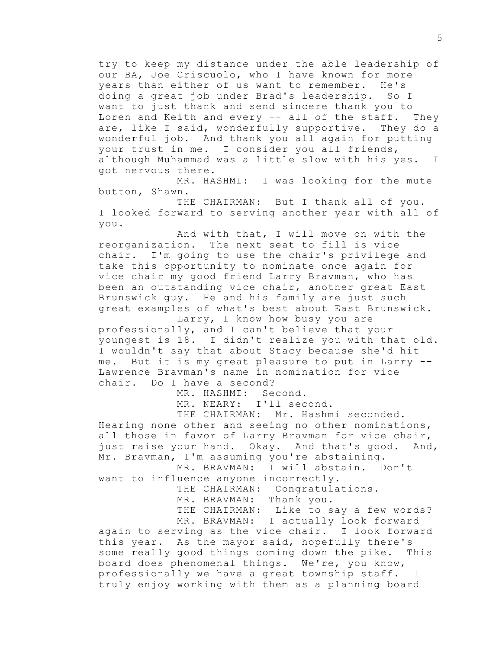try to keep my distance under the able leadership of our BA, Joe Criscuolo, who I have known for more years than either of us want to remember. He's doing a great job under Brad's leadership. So I want to just thank and send sincere thank you to Loren and Keith and every -- all of the staff. They are, like I said, wonderfully supportive. They do a wonderful job. And thank you all again for putting your trust in me. I consider you all friends, although Muhammad was a little slow with his yes. I got nervous there.

MR. HASHMI: I was looking for the mute button, Shawn.

THE CHAIRMAN: But I thank all of you. I looked forward to serving another year with all of you.

And with that, I will move on with the reorganization. The next seat to fill is vice chair. I'm going to use the chair's privilege and take this opportunity to nominate once again for vice chair my good friend Larry Bravman, who has been an outstanding vice chair, another great East Brunswick guy. He and his family are just such great examples of what's best about East Brunswick.

Larry, I know how busy you are professionally, and I can't believe that your youngest is 18. I didn't realize you with that old. I wouldn't say that about Stacy because she'd hit me. But it is my great pleasure to put in Larry -- Lawrence Bravman's name in nomination for vice chair. Do I have a second?

MR. HASHMI: Second.

MR. NEARY: I'll second.

THE CHAIRMAN: Mr. Hashmi seconded. Hearing none other and seeing no other nominations, all those in favor of Larry Bravman for vice chair, just raise your hand. Okay. And that's good. And, Mr. Bravman, I'm assuming you're abstaining.

MR. BRAVMAN: I will abstain. Don't want to influence anyone incorrectly.

> THE CHAIRMAN: Congratulations. MR. BRAVMAN: Thank you.

THE CHAIRMAN: Like to say a few words? MR. BRAVMAN: I actually look forward

again to serving as the vice chair. I look forward this year. As the mayor said, hopefully there's some really good things coming down the pike. This board does phenomenal things. We're, you know, professionally we have a great township staff. I truly enjoy working with them as a planning board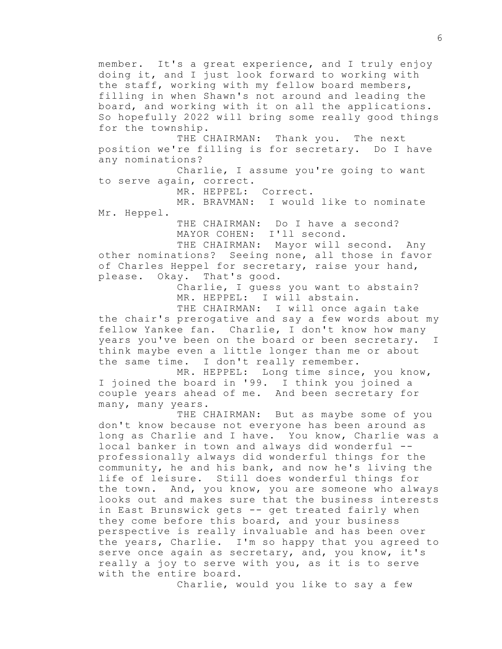member. It's a great experience, and I truly enjoy doing it, and I just look forward to working with the staff, working with my fellow board members, filling in when Shawn's not around and leading the board, and working with it on all the applications. So hopefully 2022 will bring some really good things for the township.

THE CHAIRMAN: Thank you. The next position we're filling is for secretary. Do I have any nominations?

Charlie, I assume you're going to want to serve again, correct.

MR. HEPPEL: Correct.

MR. BRAVMAN: I would like to nominate Mr. Heppel.

> THE CHAIRMAN: Do I have a second? MAYOR COHEN: I'll second.

THE CHAIRMAN: Mayor will second. Any other nominations? Seeing none, all those in favor of Charles Heppel for secretary, raise your hand, please. Okay. That's good.

> Charlie, I guess you want to abstain? MR. HEPPEL: I will abstain.

THE CHAIRMAN: I will once again take the chair's prerogative and say a few words about my fellow Yankee fan. Charlie, I don't know how many years you've been on the board or been secretary. I think maybe even a little longer than me or about the same time. I don't really remember.

MR. HEPPEL: Long time since, you know, I joined the board in '99. I think you joined a couple years ahead of me. And been secretary for many, many years.

THE CHAIRMAN: But as maybe some of you don't know because not everyone has been around as long as Charlie and I have. You know, Charlie was a local banker in town and always did wonderful - professionally always did wonderful things for the community, he and his bank, and now he's living the life of leisure. Still does wonderful things for the town. And, you know, you are someone who always looks out and makes sure that the business interests in East Brunswick gets -- get treated fairly when they come before this board, and your business perspective is really invaluable and has been over the years, Charlie. I'm so happy that you agreed to serve once again as secretary, and, you know, it's really a joy to serve with you, as it is to serve with the entire board.

Charlie, would you like to say a few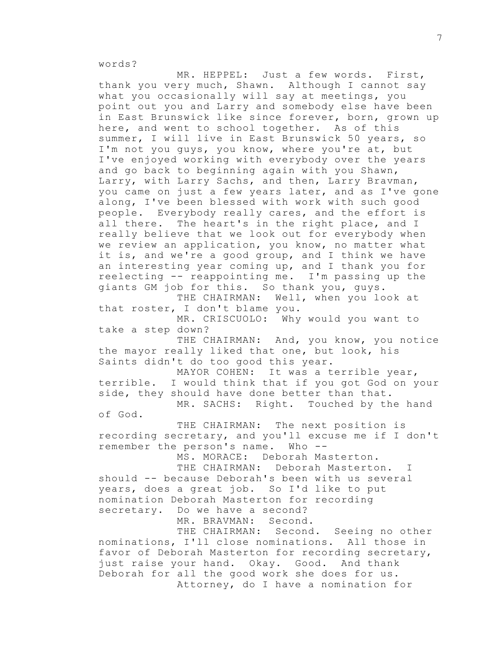words?

MR. HEPPEL: Just a few words. First, thank you very much, Shawn. Although I cannot say what you occasionally will say at meetings, you point out you and Larry and somebody else have been in East Brunswick like since forever, born, grown up here, and went to school together. As of this summer, I will live in East Brunswick 50 years, so I'm not you guys, you know, where you're at, but I've enjoyed working with everybody over the years and go back to beginning again with you Shawn, Larry, with Larry Sachs, and then, Larry Bravman, you came on just a few years later, and as I've gone along, I've been blessed with work with such good people. Everybody really cares, and the effort is all there. The heart's in the right place, and I really believe that we look out for everybody when we review an application, you know, no matter what it is, and we're a good group, and I think we have an interesting year coming up, and I thank you for reelecting -- reappointing me. I'm passing up the giants GM job for this. So thank you, guys.

THE CHAIRMAN: Well, when you look at that roster, I don't blame you.

MR. CRISCUOLO: Why would you want to take a step down?

THE CHAIRMAN: And, you know, you notice the mayor really liked that one, but look, his Saints didn't do too good this year.

MAYOR COHEN: It was a terrible year, terrible. I would think that if you got God on your side, they should have done better than that.

MR. SACHS: Right. Touched by the hand of God.

THE CHAIRMAN: The next position is recording secretary, and you'll excuse me if I don't remember the person's name. Who --

MS. MORACE: Deborah Masterton.

THE CHAIRMAN: Deborah Masterton. I should -- because Deborah's been with us several years, does a great job. So I'd like to put nomination Deborah Masterton for recording secretary. Do we have a second?

MR. BRAVMAN: Second.

THE CHAIRMAN: Second. Seeing no other nominations, I'll close nominations. All those in favor of Deborah Masterton for recording secretary, just raise your hand. Okay. Good. And thank Deborah for all the good work she does for us. Attorney, do I have a nomination for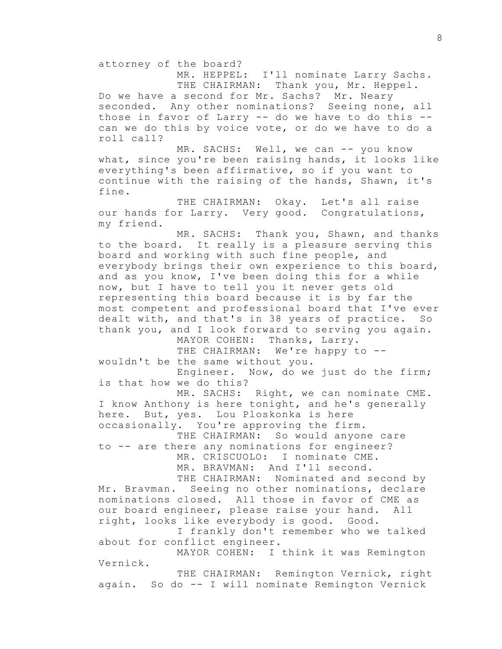attorney of the board?

MR. HEPPEL: I'll nominate Larry Sachs. THE CHAIRMAN: Thank you, Mr. Heppel. Do we have a second for Mr. Sachs? Mr. Neary seconded. Any other nominations? Seeing none, all those in favor of Larry -- do we have to do this - can we do this by voice vote, or do we have to do a roll call?

MR. SACHS: Well, we can -- you know what, since you're been raising hands, it looks like everything's been affirmative, so if you want to continue with the raising of the hands, Shawn, it's fine.

THE CHAIRMAN: Okay. Let's all raise our hands for Larry. Very good. Congratulations, my friend.

MR. SACHS: Thank you, Shawn, and thanks to the board. It really is a pleasure serving this board and working with such fine people, and everybody brings their own experience to this board, and as you know, I've been doing this for a while now, but I have to tell you it never gets old representing this board because it is by far the most competent and professional board that I've ever dealt with, and that's in 38 years of practice. So thank you, and I look forward to serving you again.

MAYOR COHEN: Thanks, Larry.

THE CHAIRMAN: We're happy to -wouldn't be the same without you.

Engineer. Now, do we just do the firm; is that how we do this?

MR. SACHS: Right, we can nominate CME. I know Anthony is here tonight, and he's generally here. But, yes. Lou Ploskonka is here occasionally. You're approving the firm.

THE CHAIRMAN: So would anyone care to -- are there any nominations for engineer?

MR. CRISCUOLO: I nominate CME.

MR. BRAVMAN: And I'll second.

THE CHAIRMAN: Nominated and second by Mr. Bravman. Seeing no other nominations, declare nominations closed. All those in favor of CME as our board engineer, please raise your hand. All right, looks like everybody is good. Good.

I frankly don't remember who we talked about for conflict engineer.

MAYOR COHEN: I think it was Remington Vernick.

THE CHAIRMAN: Remington Vernick, right again. So do -- I will nominate Remington Vernick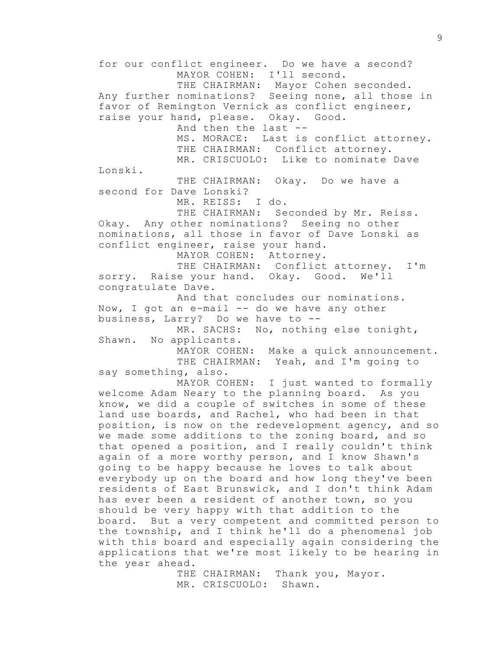for our conflict engineer. Do we have a second? MAYOR COHEN: I'll second. THE CHAIRMAN: Mayor Cohen seconded. Any further nominations? Seeing none, all those in favor of Remington Vernick as conflict engineer, raise your hand, please. Okay. Good. And then the last -- MS. MORACE: Last is conflict attorney. THE CHAIRMAN: Conflict attorney. MR. CRISCUOLO: Like to nominate Dave Lonski. THE CHAIRMAN: Okay. Do we have a second for Dave Lonski? MR. REISS: I do. THE CHAIRMAN: Seconded by Mr. Reiss. Okay. Any other nominations? Seeing no other nominations, all those in favor of Dave Lonski as conflict engineer, raise your hand. MAYOR COHEN: Attorney. THE CHAIRMAN: Conflict attorney. I'm sorry. Raise your hand. Okay. Good. We'll congratulate Dave. And that concludes our nominations. Now, I got an e-mail -- do we have any other business, Larry? Do we have to -- MR. SACHS: No, nothing else tonight, Shawn. No applicants. MAYOR COHEN: Make a quick announcement. THE CHAIRMAN: Yeah, and I'm going to say something, also. MAYOR COHEN: I just wanted to formally welcome Adam Neary to the planning board. As you know, we did a couple of switches in some of these land use boards, and Rachel, who had been in that position, is now on the redevelopment agency, and so we made some additions to the zoning board, and so that opened a position, and I really couldn't think again of a more worthy person, and I know Shawn's going to be happy because he loves to talk about everybody up on the board and how long they've been residents of East Brunswick, and I don't think Adam has ever been a resident of another town, so you should be very happy with that addition to the board. But a very competent and committed person to the township, and I think he'll do a phenomenal job with this board and especially again considering the applications that we're most likely to be hearing in the year ahead.

THE CHAIRMAN: Thank you, Mayor. MR. CRISCUOLO: Shawn.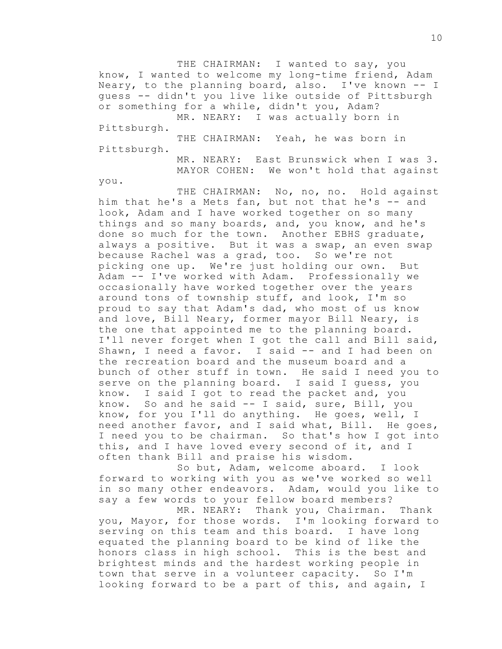THE CHAIRMAN: I wanted to say, you know, I wanted to welcome my long-time friend, Adam Neary, to the planning board, also. I've known -- I guess -- didn't you live like outside of Pittsburgh or something for a while, didn't you, Adam? MR. NEARY: I was actually born in

Pittsburgh.

THE CHAIRMAN: Yeah, he was born in Pittsburgh.

> MR. NEARY: East Brunswick when I was 3. MAYOR COHEN: We won't hold that against

you.

THE CHAIRMAN: No, no, no. Hold against him that he's a Mets fan, but not that he's -- and look, Adam and I have worked together on so many things and so many boards, and, you know, and he's done so much for the town. Another EBHS graduate, always a positive. But it was a swap, an even swap because Rachel was a grad, too. So we're not picking one up. We're just holding our own. But Adam -- I've worked with Adam. Professionally we occasionally have worked together over the years around tons of township stuff, and look, I'm so proud to say that Adam's dad, who most of us know and love, Bill Neary, former mayor Bill Neary, is the one that appointed me to the planning board. I'll never forget when I got the call and Bill said, Shawn, I need a favor. I said -- and I had been on the recreation board and the museum board and a bunch of other stuff in town. He said I need you to serve on the planning board. I said I guess, you know. I said I got to read the packet and, you know. So and he said -- I said, sure, Bill, you know, for you I'll do anything. He goes, well, I need another favor, and I said what, Bill. He goes, I need you to be chairman. So that's how I got into this, and I have loved every second of it, and I often thank Bill and praise his wisdom.

So but, Adam, welcome aboard. I look forward to working with you as we've worked so well in so many other endeavors. Adam, would you like to say a few words to your fellow board members?

MR. NEARY: Thank you, Chairman. Thank you, Mayor, for those words. I'm looking forward to serving on this team and this board. I have long equated the planning board to be kind of like the honors class in high school. This is the best and brightest minds and the hardest working people in town that serve in a volunteer capacity. So I'm looking forward to be a part of this, and again, I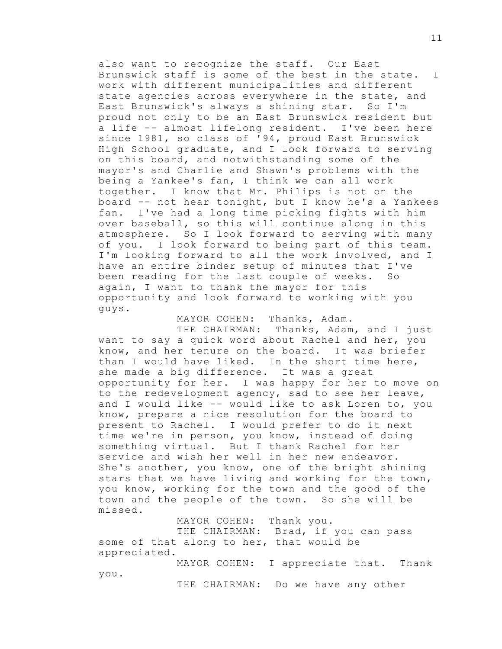also want to recognize the staff. Our East Brunswick staff is some of the best in the state. I work with different municipalities and different state agencies across everywhere in the state, and East Brunswick's always a shining star. So I'm proud not only to be an East Brunswick resident but a life -- almost lifelong resident. I've been here since 1981, so class of '94, proud East Brunswick High School graduate, and I look forward to serving on this board, and notwithstanding some of the mayor's and Charlie and Shawn's problems with the being a Yankee's fan, I think we can all work together. I know that Mr. Philips is not on the board -- not hear tonight, but I know he's a Yankees fan. I've had a long time picking fights with him over baseball, so this will continue along in this atmosphere. So I look forward to serving with many of you. I look forward to being part of this team. I'm looking forward to all the work involved, and I have an entire binder setup of minutes that I've been reading for the last couple of weeks. So again, I want to thank the mayor for this opportunity and look forward to working with you guys.

MAYOR COHEN: Thanks, Adam.

THE CHAIRMAN: Thanks, Adam, and I just want to say a quick word about Rachel and her, you know, and her tenure on the board. It was briefer than I would have liked. In the short time here, she made a big difference. It was a great opportunity for her. I was happy for her to move on to the redevelopment agency, sad to see her leave, and I would like -- would like to ask Loren to, you know, prepare a nice resolution for the board to present to Rachel. I would prefer to do it next time we're in person, you know, instead of doing something virtual. But I thank Rachel for her service and wish her well in her new endeavor. She's another, you know, one of the bright shining stars that we have living and working for the town, you know, working for the town and the good of the town and the people of the town. So she will be missed.

MAYOR COHEN: Thank you. THE CHAIRMAN: Brad, if you can pass some of that along to her, that would be appreciated.

MAYOR COHEN: I appreciate that. Thank you.

THE CHAIRMAN: Do we have any other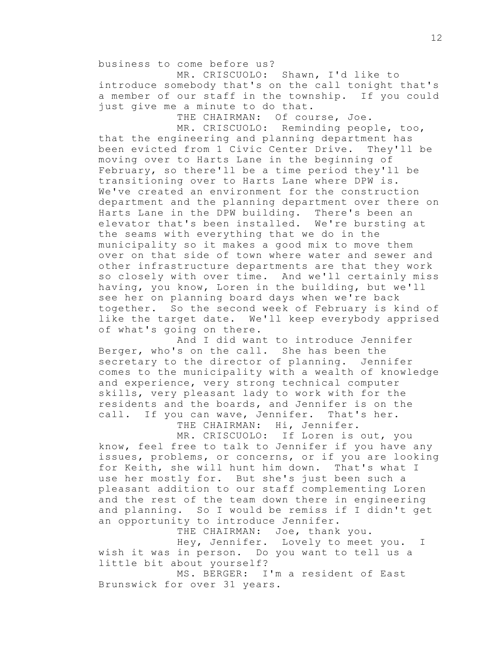business to come before us?

MR. CRISCUOLO: Shawn, I'd like to introduce somebody that's on the call tonight that's a member of our staff in the township. If you could just give me a minute to do that.

THE CHAIRMAN: Of course, Joe.

MR. CRISCUOLO: Reminding people, too, that the engineering and planning department has been evicted from 1 Civic Center Drive. They'll be moving over to Harts Lane in the beginning of February, so there'll be a time period they'll be transitioning over to Harts Lane where DPW is. We've created an environment for the construction department and the planning department over there on Harts Lane in the DPW building. There's been an elevator that's been installed. We're bursting at the seams with everything that we do in the municipality so it makes a good mix to move them over on that side of town where water and sewer and other infrastructure departments are that they work so closely with over time. And we'll certainly miss having, you know, Loren in the building, but we'll see her on planning board days when we're back together. So the second week of February is kind of like the target date. We'll keep everybody apprised of what's going on there.

And I did want to introduce Jennifer Berger, who's on the call. She has been the secretary to the director of planning. Jennifer comes to the municipality with a wealth of knowledge and experience, very strong technical computer skills, very pleasant lady to work with for the residents and the boards, and Jennifer is on the call. If you can wave, Jennifer. That's her.

THE CHAIRMAN: Hi, Jennifer.

MR. CRISCUOLO: If Loren is out, you know, feel free to talk to Jennifer if you have any issues, problems, or concerns, or if you are looking for Keith, she will hunt him down. That's what I use her mostly for. But she's just been such a pleasant addition to our staff complementing Loren and the rest of the team down there in engineering and planning. So I would be remiss if I didn't get an opportunity to introduce Jennifer.

THE CHAIRMAN: Joe, thank you.

Hey, Jennifer. Lovely to meet you. I wish it was in person. Do you want to tell us a little bit about yourself?

MS. BERGER: I'm a resident of East Brunswick for over 31 years.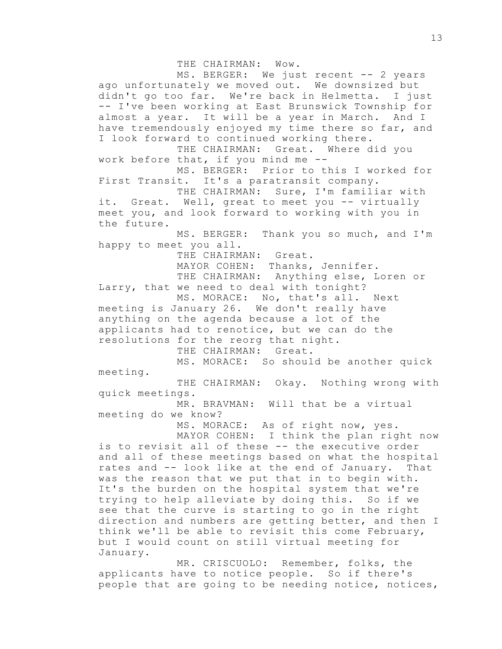THE CHAIRMAN: Wow.

MS. BERGER: We just recent -- 2 years ago unfortunately we moved out. We downsized but didn't go too far. We're back in Helmetta. I just -- I've been working at East Brunswick Township for almost a year. It will be a year in March. And I have tremendously enjoyed my time there so far, and I look forward to continued working there. THE CHAIRMAN: Great. Where did you work before that, if you mind me -- MS. BERGER: Prior to this I worked for First Transit. It's a paratransit company. THE CHAIRMAN: Sure, I'm familiar with it. Great. Well, great to meet you -- virtually meet you, and look forward to working with you in the future. MS. BERGER: Thank you so much, and I'm happy to meet you all. THE CHAIRMAN: Great. MAYOR COHEN: Thanks, Jennifer.

THE CHAIRMAN: Anything else, Loren or Larry, that we need to deal with tonight?

MS. MORACE: No, that's all. Next meeting is January 26. We don't really have anything on the agenda because a lot of the applicants had to renotice, but we can do the resolutions for the reorg that night.

THE CHAIRMAN: Great.

MS. MORACE: So should be another quick meeting.

THE CHAIRMAN: Okay. Nothing wrong with quick meetings.

MR. BRAVMAN: Will that be a virtual meeting do we know?

MS. MORACE: As of right now, yes.

MAYOR COHEN: I think the plan right now is to revisit all of these -- the executive order and all of these meetings based on what the hospital rates and -- look like at the end of January. That was the reason that we put that in to begin with. It's the burden on the hospital system that we're trying to help alleviate by doing this. So if we see that the curve is starting to go in the right direction and numbers are getting better, and then I think we'll be able to revisit this come February, but I would count on still virtual meeting for January.

MR. CRISCUOLO: Remember, folks, the applicants have to notice people. So if there's people that are going to be needing notice, notices,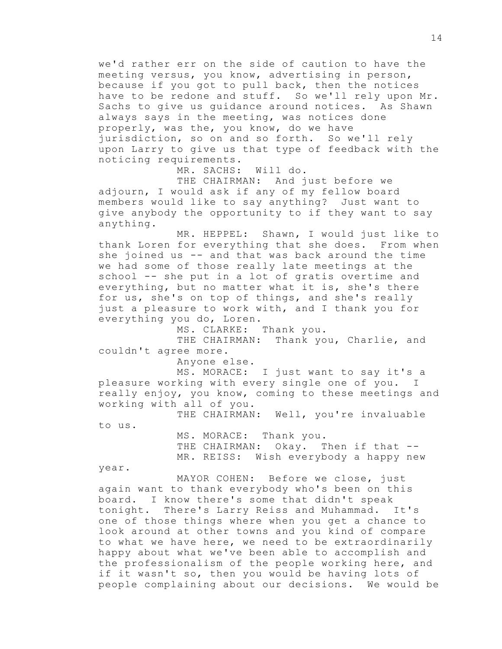we'd rather err on the side of caution to have the meeting versus, you know, advertising in person, because if you got to pull back, then the notices have to be redone and stuff. So we'll rely upon Mr. Sachs to give us guidance around notices. As Shawn always says in the meeting, was notices done properly, was the, you know, do we have jurisdiction, so on and so forth. So we'll rely upon Larry to give us that type of feedback with the noticing requirements.

MR. SACHS: Will do.

THE CHAIRMAN: And just before we adjourn, I would ask if any of my fellow board members would like to say anything? Just want to give anybody the opportunity to if they want to say anything.

MR. HEPPEL: Shawn, I would just like to thank Loren for everything that she does. From when she joined us -- and that was back around the time we had some of those really late meetings at the school -- she put in a lot of gratis overtime and everything, but no matter what it is, she's there for us, she's on top of things, and she's really just a pleasure to work with, and I thank you for everything you do, Loren.

MS. CLARKE: Thank you.

THE CHAIRMAN: Thank you, Charlie, and couldn't agree more.

Anyone else.

MS. MORACE: I just want to say it's a pleasure working with every single one of you. I really enjoy, you know, coming to these meetings and working with all of you.

THE CHAIRMAN: Well, you're invaluable

to us.

MS. MORACE: Thank you. THE CHAIRMAN: Okay. Then if that --MR. REISS: Wish everybody a happy new

year.

MAYOR COHEN: Before we close, just again want to thank everybody who's been on this board. I know there's some that didn't speak tonight. There's Larry Reiss and Muhammad. It's one of those things where when you get a chance to look around at other towns and you kind of compare to what we have here, we need to be extraordinarily happy about what we've been able to accomplish and the professionalism of the people working here, and if it wasn't so, then you would be having lots of people complaining about our decisions. We would be